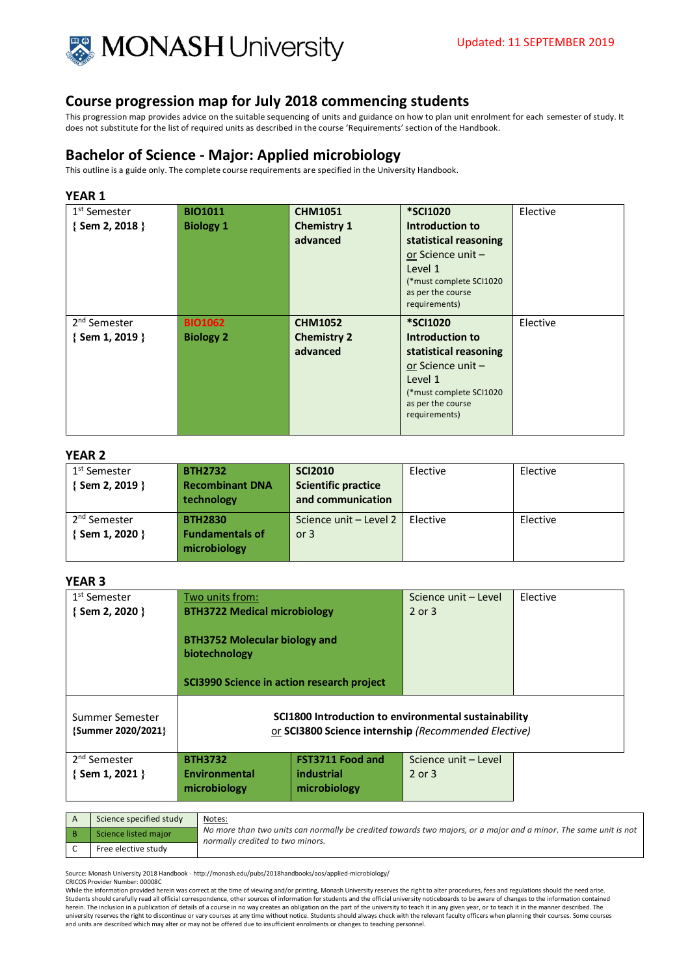

This progression map provides advice on the suitable sequencing of units and guidance on how to plan unit enrolment for each semester of study. It does not substitute for the list of required units as described in the course 'Requirements' section of the Handbook.

# **Bachelor of Science - Major: Applied microbiology**

This outline is a guide only. The complete course requirements are specified in the University Handbook.

## **YEAR 1**

| 1 <sup>st</sup> Semester<br>{Sem 2, 2018 } | <b>BIO1011</b><br><b>Biology 1</b> | <b>CHM1051</b><br><b>Chemistry 1</b><br>advanced | <b>*SCI1020</b><br>Introduction to<br>statistical reasoning<br>or Science unit -<br>Level 1<br>(*must complete SCI1020<br>as per the course | Elective |
|--------------------------------------------|------------------------------------|--------------------------------------------------|---------------------------------------------------------------------------------------------------------------------------------------------|----------|
| 2 <sup>nd</sup> Semester                   | <b>BIO1062</b>                     | <b>CHM1052</b>                                   | requirements)<br><b>*SCI1020</b>                                                                                                            | Elective |
| $\{$ Sem 1, 2019 $\}$                      | <b>Biology 2</b>                   | <b>Chemistry 2</b><br>advanced                   | Introduction to<br>statistical reasoning<br>or Science unit -<br>Level 1<br>(*must complete SCI1020<br>as per the course<br>requirements)   |          |

#### **YEAR 2**

| 1 <sup>st</sup> Semester | <b>BTH2732</b>         | <b>SCI2010</b>             | Elective        | Elective |
|--------------------------|------------------------|----------------------------|-----------------|----------|
| {Sem 2, 2019 }           | <b>Recombinant DNA</b> | <b>Scientific practice</b> |                 |          |
|                          | technology             | and communication          |                 |          |
| 2 <sup>nd</sup> Semester | <b>BTH2830</b>         | Science unit - Level 2     | <b>Flective</b> | Elective |
| { Sem 1, 2020 }          | <b>Fundamentals of</b> | or $3$                     |                 |          |
|                          | microbiology           |                            |                 |          |

## **YEAR 3**

| 1 <sup>st</sup> Semester                          | Two units from:                                                                                     |                                                                                                                     | Science unit - Level               | Elective |
|---------------------------------------------------|-----------------------------------------------------------------------------------------------------|---------------------------------------------------------------------------------------------------------------------|------------------------------------|----------|
| $\{$ Sem 2, 2020 $\}$                             | <b>BTH3722 Medical microbiology</b>                                                                 |                                                                                                                     | 2 or 3                             |          |
|                                                   | <b>BTH3752 Molecular biology and</b><br>biotechnology<br>SCI3990 Science in action research project |                                                                                                                     |                                    |          |
| Summer Semester<br>{Summer 2020/2021}             |                                                                                                     | SCI1800 Introduction to environmental sustainability<br>or <b>SCI3800 Science internship</b> (Recommended Elective) |                                    |          |
| 2 <sup>nd</sup> Semester<br>$\{$ Sem 1, 2021 $\}$ | <b>BTH3732</b><br>Environmental                                                                     | <b>FST3711 Food and</b><br>industrial                                                                               | Science unit - Level<br>$2$ or $3$ |          |
|                                                   | microbiology                                                                                        | microbiology                                                                                                        |                                    |          |

| Science specified study | Notes:                                                                                                                                               |
|-------------------------|------------------------------------------------------------------------------------------------------------------------------------------------------|
| Science listed major    | No more than two units can normally be credited towards two majors, or a major and a minor. The same unit is not<br>normally credited to two minors. |
| Free elective study     |                                                                                                                                                      |

Source: Monash University 2018 Handbook - http://monash.edu/pubs/2018handbooks/aos/applied-microbiology/

CRICOS Provider Number: 00008C

While the information provided herein was correct at the time of viewing and/or printing, Monash University reserves the right to alter procedures, fees and regulations should the need arise. Students should carefully read all official correspondence, other sources of information for students and the official university noticeboards to be aware of changes to the information contained<br>herein. The inclusion in a university reserves the right to discontinue or vary courses at any time without notice. Students should always check with the relevant faculty officers when planning their courses. Some courses<br>and units are described whi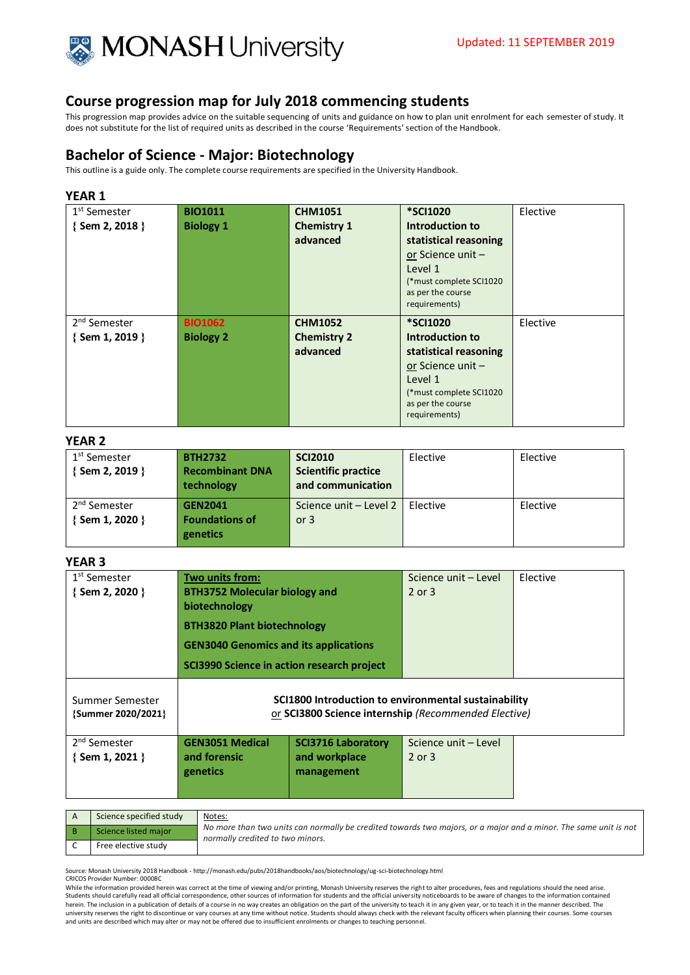

This progression map provides advice on the suitable sequencing of units and guidance on how to plan unit enrolment for each semester of study. It does not substitute for the list of required units as described in the course 'Requirements' section of the Handbook.

# **Bachelor of Science - Major: Biotechnology**

This outline is a guide only. The complete course requirements are specified in the University Handbook.

## **YEAR 1**

| 1 <sup>st</sup> Semester | <b>BIO1011</b>   | <b>CHM1051</b>     | <b>*SCI1020</b>                    | Elective |
|--------------------------|------------------|--------------------|------------------------------------|----------|
| {Sem 2, 2018 }           | <b>Biology 1</b> | <b>Chemistry 1</b> | Introduction to                    |          |
|                          |                  | advanced           | statistical reasoning              |          |
|                          |                  |                    | or Science unit-                   |          |
|                          |                  |                    | Level 1                            |          |
|                          |                  |                    | (*must complete SCI1020            |          |
|                          |                  |                    | as per the course<br>requirements) |          |
|                          |                  |                    |                                    |          |
|                          |                  |                    |                                    |          |
| 2 <sup>nd</sup> Semester | <b>BIO1062</b>   | <b>CHM1052</b>     | <b>*SCI1020</b>                    | Elective |
| $\{$ Sem 1, 2019 $\}$    | <b>Biology 2</b> | <b>Chemistry 2</b> | Introduction to                    |          |
|                          |                  | advanced           | statistical reasoning              |          |
|                          |                  |                    | or Science unit-                   |          |
|                          |                  |                    | Level 1                            |          |
|                          |                  |                    | (*must complete SCI1020            |          |
|                          |                  |                    | as per the course<br>requirements) |          |

### **YEAR 2**

| 1 <sup>st</sup> Semester<br>{ Sem 2, 2019 } | <b>BTH2732</b><br><b>Recombinant DNA</b><br>technology | <b>SCI2010</b><br><b>Scientific practice</b><br>and communication | Elective | Elective |
|---------------------------------------------|--------------------------------------------------------|-------------------------------------------------------------------|----------|----------|
| 2 <sup>nd</sup> Semester<br>{ Sem 1, 2020 } | <b>GEN2041</b><br><b>Foundations of</b><br>genetics    | Science unit - Level 2   Elective<br>or $3$                       |          | Elective |

## **YEAR 3**

| 1 <sup>st</sup> Semester<br>$\{$ Sem 2, 2020 $\}$ | Two units from:<br><b>BTH3752 Molecular biology and</b><br>biotechnology<br><b>BTH3820 Plant biotechnology</b><br><b>GEN3040 Genomics and its applications</b><br>SCI3990 Science in action research project |                                                                                                              | Science unit - Level<br>$2$ or $3$ | Elective |
|---------------------------------------------------|--------------------------------------------------------------------------------------------------------------------------------------------------------------------------------------------------------------|--------------------------------------------------------------------------------------------------------------|------------------------------------|----------|
| Summer Semester<br>{Summer 2020/2021}             |                                                                                                                                                                                                              | SCI1800 Introduction to environmental sustainability<br>or SCI3800 Science internship (Recommended Elective) |                                    |          |
| 2 <sup>nd</sup> Semester<br>$\{$ Sem 1, 2021 $\}$ | <b>GEN3051 Medical</b><br>and forensic<br>genetics                                                                                                                                                           | <b>SCI3716 Laboratory</b><br>and workplace<br>management                                                     | Science unit - Level<br>$2$ or $3$ |          |

| Science specified study | Notes:                                                                                                                                               |
|-------------------------|------------------------------------------------------------------------------------------------------------------------------------------------------|
| Science listed major    | No more than two units can normally be credited towards two majors, or a major and a minor. The same unit is not<br>normally credited to two minors. |
| Free elective study     |                                                                                                                                                      |

Source: Monash University 2018 Handbook - http://monash.edu/pubs/2018handbooks/aos/biotechnology/ug-sci-biotechnology.html

CRICOS Provider Number: 00008C

While the information provided herein was correct at the time of viewing and/or printing, Monash University reserves the right to alter procedures, fees and regulations should the need arise. Students should carefully read all official correspondence, other sources of information for students and the official university noticeboards to be aware of changes to the information contained herein. The inclusion in a publication of details of a course in no way creates an obligation on the part of the university to teach it in any given year, or to teach it in the manner described. The<br>university reserves the and units are described which may alter or may not be offered due to insufficient enrolments or changes to teaching personnel.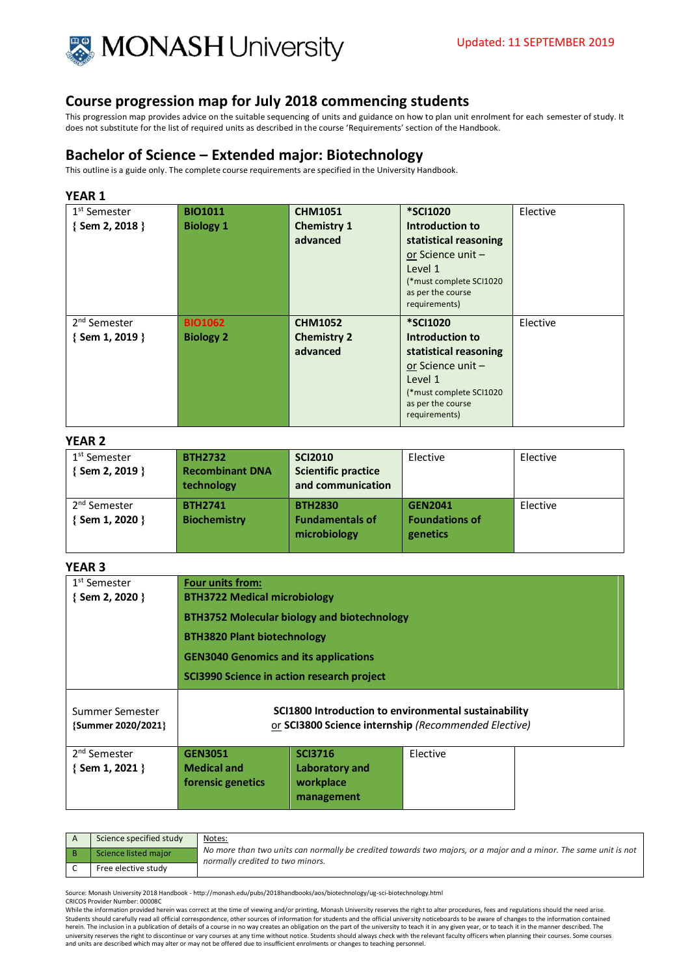

This progression map provides advice on the suitable sequencing of units and guidance on how to plan unit enrolment for each semester of study. It does not substitute for the list of required units as described in the course 'Requirements' section of the Handbook.

# **Bachelor of Science – Extended major: Biotechnology**

This outline is a guide only. The complete course requirements are specified in the University Handbook.

## **YEAR 1**

| 1 <sup>st</sup> Semester | <b>BIO1011</b>   | <b>CHM1051</b>     | <b>*SCI1020</b>                    | Elective |
|--------------------------|------------------|--------------------|------------------------------------|----------|
| $\{$ Sem 2, 2018 $\}$    | <b>Biology 1</b> | <b>Chemistry 1</b> | Introduction to                    |          |
|                          |                  | advanced           | statistical reasoning              |          |
|                          |                  |                    | or Science unit -                  |          |
|                          |                  |                    | Level 1                            |          |
|                          |                  |                    | (*must complete SCI1020            |          |
|                          |                  |                    | as per the course<br>requirements) |          |
|                          |                  |                    |                                    |          |
|                          |                  |                    |                                    |          |
| 2 <sup>nd</sup> Semester | <b>BIO1062</b>   | <b>CHM1052</b>     | <b>*SCI1020</b>                    | Elective |
| $\{$ Sem 1, 2019 $\}$    | <b>Biology 2</b> | <b>Chemistry 2</b> | Introduction to                    |          |
|                          |                  | advanced           | statistical reasoning              |          |
|                          |                  |                    | or Science unit -                  |          |
|                          |                  |                    | Level 1                            |          |
|                          |                  |                    | (*must complete SCI1020            |          |
|                          |                  |                    | as per the course<br>requirements) |          |

## **YEAR 2**

| 1 <sup>st</sup> Semester<br>{Sem 2, 2019 }  | <b>BTH2732</b><br><b>Recombinant DNA</b><br>technology | <b>SCI2010</b><br><b>Scientific practice</b><br>and communication | Elective                                            | Elective |
|---------------------------------------------|--------------------------------------------------------|-------------------------------------------------------------------|-----------------------------------------------------|----------|
| 2 <sup>nd</sup> Semester<br>{ Sem 1, 2020 } | <b>BTH2741</b><br><b>Biochemistry</b>                  | <b>BTH2830</b><br><b>Fundamentals of</b><br>microbiology          | <b>GEN2041</b><br><b>Foundations of</b><br>genetics | Elective |

## **YEAR 3**

| 1 <sup>st</sup> Semester                          | Four units from:                                                                                             |                                                             |          |  |  |
|---------------------------------------------------|--------------------------------------------------------------------------------------------------------------|-------------------------------------------------------------|----------|--|--|
| $\{$ Sem 2, 2020 $\}$                             | <b>BTH3722 Medical microbiology</b>                                                                          |                                                             |          |  |  |
|                                                   | <b>BTH3752 Molecular biology and biotechnology</b>                                                           |                                                             |          |  |  |
|                                                   |                                                                                                              | <b>BTH3820 Plant biotechnology</b>                          |          |  |  |
|                                                   |                                                                                                              | <b>GEN3040 Genomics and its applications</b>                |          |  |  |
|                                                   | SCI3990 Science in action research project                                                                   |                                                             |          |  |  |
| Summer Semester<br>{Summer 2020/2021}             | SCI1800 Introduction to environmental sustainability<br>or SCI3800 Science internship (Recommended Elective) |                                                             |          |  |  |
| 2 <sup>nd</sup> Semester<br>$\{$ Sem 1, 2021 $\}$ | <b>GEN3051</b><br><b>Medical and</b><br>forensic genetics                                                    | <b>SCI3716</b><br>Laboratory and<br>workplace<br>management | Elective |  |  |
|                                                   |                                                                                                              |                                                             |          |  |  |

| Science specified study | Notes:<br>No more than two units can normally be credited towards two majors, or a major and a minor. The same unit is not<br>normally credited to two minors. |
|-------------------------|----------------------------------------------------------------------------------------------------------------------------------------------------------------|
| Science listed major    |                                                                                                                                                                |
| Free elective study     |                                                                                                                                                                |

Source: Monash University 2018 Handbook - http://monash.edu/pubs/2018handbooks/aos/biotechnology/ug-sci-biotechnology.html CRICOS Provider Number: 00008C

While the information provided herein was correct at the time of viewing and/or printing, Monash University reserves the right to alter procedures, fees and regulations should the need arise. Students should carefully read all official correspondence, other sources of information for students and the official university noticeboards to be aware of changes to the information contained<br>herein. The inclusion in a university reserves the right to discontinue or vary courses at any time without notice. Students should always check with the relevant faculty officers when planning their courses. Some courses and units are described which may alter or may not be offered due to insufficient enrolments or changes to teaching personnel.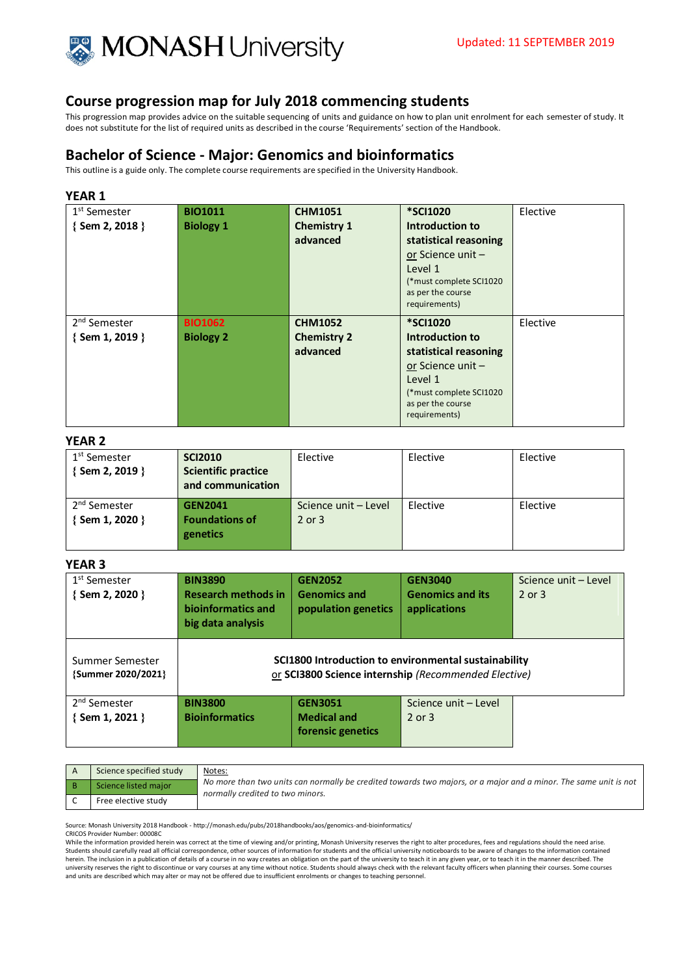

This progression map provides advice on the suitable sequencing of units and guidance on how to plan unit enrolment for each semester of study. It does not substitute for the list of required units as described in the course 'Requirements' section of the Handbook.

# **Bachelor of Science - Major: Genomics and bioinformatics**

This outline is a guide only. The complete course requirements are specified in the University Handbook.

## **YEAR 1**

| 1 <sup>st</sup> Semester | <b>BIO1011</b>   | <b>CHM1051</b>     | <b>*SCI1020</b>                    | Elective |
|--------------------------|------------------|--------------------|------------------------------------|----------|
| {Sem 2, 2018 }           | <b>Biology 1</b> | <b>Chemistry 1</b> | Introduction to                    |          |
|                          |                  | advanced           | statistical reasoning              |          |
|                          |                  |                    | or Science unit -                  |          |
|                          |                  |                    | Level 1                            |          |
|                          |                  |                    | (*must complete SCI1020            |          |
|                          |                  |                    | as per the course<br>requirements) |          |
|                          |                  |                    |                                    |          |
|                          |                  |                    |                                    |          |
| 2 <sup>nd</sup> Semester | <b>BIO1062</b>   | <b>CHM1052</b>     | <b>*SCI1020</b>                    | Elective |
| $\{$ Sem 1, 2019 $\}$    | <b>Biology 2</b> | <b>Chemistry 2</b> | Introduction to                    |          |
|                          |                  | advanced           | statistical reasoning              |          |
|                          |                  |                    | or Science unit-                   |          |
|                          |                  |                    | Level 1                            |          |
|                          |                  |                    | (*must complete SCI1020            |          |
|                          |                  |                    | as per the course<br>requirements) |          |

### **YEAR 2**

| 1 <sup>st</sup> Semester<br>$\{$ Sem 2, 2019 $\}$ | <b>SCI2010</b><br><b>Scientific practice</b><br>and communication | Elective                           | Elective | Elective |
|---------------------------------------------------|-------------------------------------------------------------------|------------------------------------|----------|----------|
| 2 <sup>nd</sup> Semester<br>$\{$ Sem 1, 2020 $\}$ | <b>GEN2041</b><br><b>Foundations of</b><br>genetics               | Science unit - Level<br>$2$ or $3$ | Elective | Elective |

## **YEAR 3**

| 1 <sup>st</sup> Semester<br>$\{$ Sem 2, 2020 $\}$ | <b>BIN3890</b><br><b>Research methods in</b><br>bioinformatics and<br>big data analysis | <b>GEN2052</b><br><b>Genomics and</b><br>population genetics | <b>GEN3040</b><br><b>Genomics and its</b><br>applications                                                    | Science unit - Level<br>2 or 3 |
|---------------------------------------------------|-----------------------------------------------------------------------------------------|--------------------------------------------------------------|--------------------------------------------------------------------------------------------------------------|--------------------------------|
| Summer Semester<br>{Summer 2020/2021}             |                                                                                         |                                                              | SCI1800 Introduction to environmental sustainability<br>or SCI3800 Science internship (Recommended Elective) |                                |
| 2 <sup>nd</sup> Semester<br>{Sem 1, 2021 }        | <b>BIN3800</b><br><b>Bioinformatics</b>                                                 | <b>GEN3051</b><br><b>Medical and</b>                         | Science unit - Level<br>2 or 3                                                                               |                                |
|                                                   |                                                                                         | forensic genetics                                            |                                                                                                              |                                |

| Science specified study | Notes:<br>No more than two units can normally be credited towards two majors, or a major and a minor. The same unit is not<br>normally credited to two minors. |
|-------------------------|----------------------------------------------------------------------------------------------------------------------------------------------------------------|
| Science listed major    |                                                                                                                                                                |
| Free elective study     |                                                                                                                                                                |

Source: Monash University 2018 Handbook - http://monash.edu/pubs/2018handbooks/aos/genomics-and-bioinformatics/

CRICOS Provider Number: 00008C

While the information provided herein was correct at the time of viewing and/or printing, Monash University reserves the right to alter procedures, fees and regulations should the need arise. Students should carefully read all official correspondence, other sources of information for students and the official university noticeboards to be aware of changes to the information contained<br>herein. The inclusion in a university reserves the right to discontinue or vary courses at any time without notice. Students should always check with the relevant faculty officers when planning their courses. Some courses at any time without notice. and units are described which may alter or may not be offered due to insufficient enrolments or changes to teaching personnel.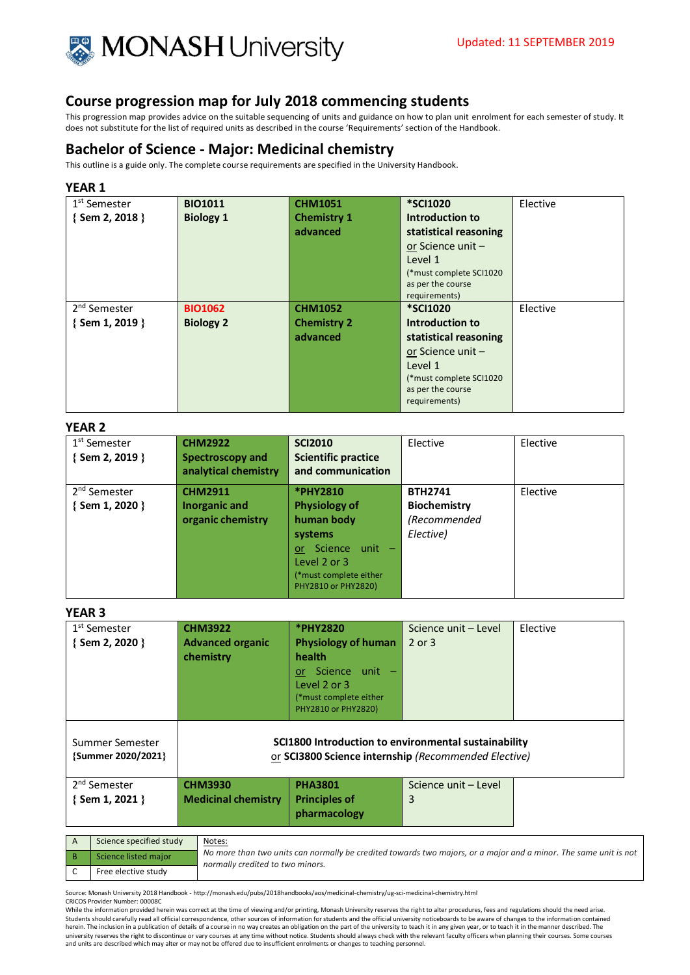

This progression map provides advice on the suitable sequencing of units and guidance on how to plan unit enrolment for each semester of study. It does not substitute for the list of required units as described in the course 'Requirements' section of the Handbook.

# **Bachelor of Science - Major: Medicinal chemistry**

This outline is a guide only. The complete course requirements are specified in the University Handbook.

#### **YEAR 1**

| 1 <sup>st</sup> Semester | <b>BIO1011</b>   | <b>CHM1051</b>     | <b>*SCI1020</b>                    | Elective |
|--------------------------|------------------|--------------------|------------------------------------|----------|
| {Sem 2, 2018 }           | <b>Biology 1</b> | <b>Chemistry 1</b> | <b>Introduction to</b>             |          |
|                          |                  | advanced           | statistical reasoning              |          |
|                          |                  |                    | or Science unit -                  |          |
|                          |                  |                    | Level 1                            |          |
|                          |                  |                    | (*must complete SCI1020            |          |
|                          |                  |                    | as per the course                  |          |
|                          |                  |                    | requirements)                      |          |
|                          |                  |                    |                                    |          |
| 2 <sup>nd</sup> Semester | <b>BIO1062</b>   | <b>CHM1052</b>     | <b>*SCI1020</b>                    | Elective |
| $\{$ Sem 1, 2019 $\}$    | <b>Biology 2</b> | <b>Chemistry 2</b> | Introduction to                    |          |
|                          |                  | advanced           | statistical reasoning              |          |
|                          |                  |                    | or Science unit-                   |          |
|                          |                  |                    | Level 1                            |          |
|                          |                  |                    | (*must complete SCI1020            |          |
|                          |                  |                    | as per the course<br>requirements) |          |

### **YEAR 2**

| 1 <sup>st</sup> Semester<br>{Sem 2, 2019 }        | <b>CHM2922</b><br><b>Spectroscopy and</b><br>analytical chemistry | <b>SCI2010</b><br><b>Scientific practice</b><br>and communication                                                                                  | Elective                                                           | Elective |
|---------------------------------------------------|-------------------------------------------------------------------|----------------------------------------------------------------------------------------------------------------------------------------------------|--------------------------------------------------------------------|----------|
| 2 <sup>nd</sup> Semester<br>$\{$ Sem 1, 2020 $\}$ | <b>CHM2911</b><br>Inorganic and<br>organic chemistry              | *PHY2810<br><b>Physiology of</b><br>human body<br>systems<br>Science unit -<br>or<br>Level 2 or 3<br>(*must complete either<br>PHY2810 or PHY2820) | <b>BTH2741</b><br><b>Biochemistry</b><br>(Recommended<br>Elective) | Elective |

#### **YEAR 3**

| 1 <sup>st</sup> Semester<br>$\{$ Sem 2, 2020 $\}$ | <b>CHM3922</b><br><b>Advanced organic</b><br>chemistry                                                       | *PHY2820<br><b>Physiology of human</b><br>health<br>Science unit -<br>or.<br>Level 2 or 3<br>(*must complete either<br>PHY2810 or PHY2820) | Science unit - Level<br>2 or 3 | Elective |
|---------------------------------------------------|--------------------------------------------------------------------------------------------------------------|--------------------------------------------------------------------------------------------------------------------------------------------|--------------------------------|----------|
| Summer Semester<br>{Summer 2020/2021}             | SCI1800 Introduction to environmental sustainability<br>or SCI3800 Science internship (Recommended Elective) |                                                                                                                                            |                                |          |
| 2 <sup>nd</sup> Semester<br>$\{$ Sem 1, 2021 $\}$ | <b>CHM3930</b><br><b>Medicinal chemistry</b>                                                                 | <b>PHA3801</b><br><b>Principles of</b><br>pharmacology                                                                                     | Science unit - Level<br>3      |          |
| Science specified study<br>Notes:<br>A            |                                                                                                              |                                                                                                                                            |                                |          |

| SCIENCE SPECINED SLUUV | <b>NULES.</b>                                                                                                                                        |
|------------------------|------------------------------------------------------------------------------------------------------------------------------------------------------|
| Science listed major   | No more than two units can normally be credited towards two majors, or a major and a minor. The same unit is not<br>normally credited to two minors. |
| Free elective study    |                                                                                                                                                      |

Source: Monash University 2018 Handbook - http://monash.edu/pubs/2018handbooks/aos/medicinal-chemistry/ug-sci-medicinal-chemistry.html CRICOS Provider Number: 00008C

While the information provided herein was correct at the time of viewing and/or printing, Monash University reserves the right to alter procedures, fees and regulations should the need arise. Students should carefully read all official correspondence, other sources of information for students and the official university noticeboards to be aware of changes to the information contained<br>herein. The inclusion in a university reserves the right to discontinue or vary courses at any time without notice. Students should always check with the relevant faculty officers when planning their courses. Some courses and units are described which may alter or may not be offered due to insufficient enrolments or changes to teaching personnel.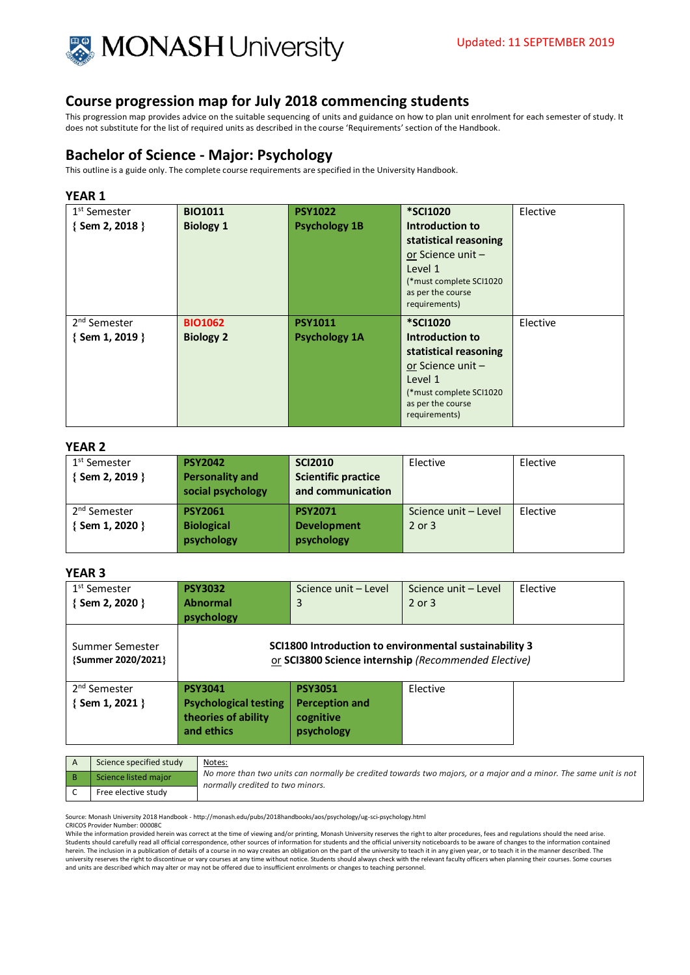

This progression map provides advice on the suitable sequencing of units and guidance on how to plan unit enrolment for each semester of study. It does not substitute for the list of required units as described in the course 'Requirements' section of the Handbook.

# **Bachelor of Science - Major: Psychology**

This outline is a guide only. The complete course requirements are specified in the University Handbook.

## **YEAR 1**

| 1 <sup>st</sup> Semester | <b>BIO1011</b>   | <b>PSY1022</b>       | <b>*SCI1020</b>                              | Elective |
|--------------------------|------------------|----------------------|----------------------------------------------|----------|
| $\{$ Sem 2, 2018 $\}$    | <b>Biology 1</b> | <b>Psychology 1B</b> | Introduction to                              |          |
|                          |                  |                      | statistical reasoning                        |          |
|                          |                  |                      | or Science unit -                            |          |
|                          |                  |                      | Level 1                                      |          |
|                          |                  |                      | (*must complete SCI1020<br>as per the course |          |
|                          |                  |                      | requirements)                                |          |
| 2 <sup>nd</sup> Semester | <b>BIO1062</b>   | <b>PSY1011</b>       | <b>*SCI1020</b>                              | Elective |
| $\{$ Sem 1, 2019 $\}$    | <b>Biology 2</b> | <b>Psychology 1A</b> | Introduction to                              |          |
|                          |                  |                      | statistical reasoning                        |          |
|                          |                  |                      | or Science unit-                             |          |
|                          |                  |                      | Level 1                                      |          |
|                          |                  |                      | (*must complete SCI1020<br>as per the course |          |
|                          |                  |                      | requirements)                                |          |

#### **YEAR 2**

| 1 <sup>st</sup> Semester<br>{Sem 2, 2019 }  | <b>PSY2042</b><br><b>Personality and</b><br>social psychology | <b>SCI2010</b><br><b>Scientific practice</b><br>and communication | Elective                       | Elective |
|---------------------------------------------|---------------------------------------------------------------|-------------------------------------------------------------------|--------------------------------|----------|
| 2 <sup>nd</sup> Semester<br>{ Sem 1, 2020 } | <b>PSY2061</b><br><b>Biological</b><br>psychology             | <b>PSY2071</b><br><b>Development</b><br>psychology                | Science unit - Level<br>2 or 3 | Elective |

## **YEAR 3**

| 1 <sup>st</sup> Semester<br>{Sem 2, 2020 } | <b>PSY3032</b><br><b>Abnormal</b><br>psychology                                     | Science unit - Level<br>3                                                                                      | Science unit - Level<br>$2$ or $3$ | Elective |
|--------------------------------------------|-------------------------------------------------------------------------------------|----------------------------------------------------------------------------------------------------------------|------------------------------------|----------|
| Summer Semester<br>{Summer 2020/2021}      |                                                                                     | SCI1800 Introduction to environmental sustainability 3<br>or SCI3800 Science internship (Recommended Elective) |                                    |          |
| 2 <sup>nd</sup> Semester<br>{Sem 1, 2021 } | <b>PSY3041</b><br><b>Psychological testing</b><br>theories of ability<br>and ethics | <b>PSY3051</b><br><b>Perception and</b><br>cognitive<br>psychology                                             | Elective                           |          |

| Science specified study | Notes:                                                                                                                                               |
|-------------------------|------------------------------------------------------------------------------------------------------------------------------------------------------|
| Science listed maior    | No more than two units can normally be credited towards two majors, or a major and a minor. The same unit is not<br>normally credited to two minors. |
| Free elective study     |                                                                                                                                                      |

Source: Monash University 2018 Handbook - http://monash.edu/pubs/2018handbooks/aos/psychology/ug-sci-psychology.html

CRICOS Provider Number: 00008C

While the information provided herein was correct at the time of viewing and/or printing, Monash University reserves the right to alter procedures, fees and regulations should the need arise.<br>Students should carefully read herein. The inclusion in a publication of details of a course in no way creates an obligation on the part of the university to teach it in any given year, or to teach it in the manner described. The<br>university reserves the and units are described which may alter or may not be offered due to insufficient enrolments or changes to teaching personnel.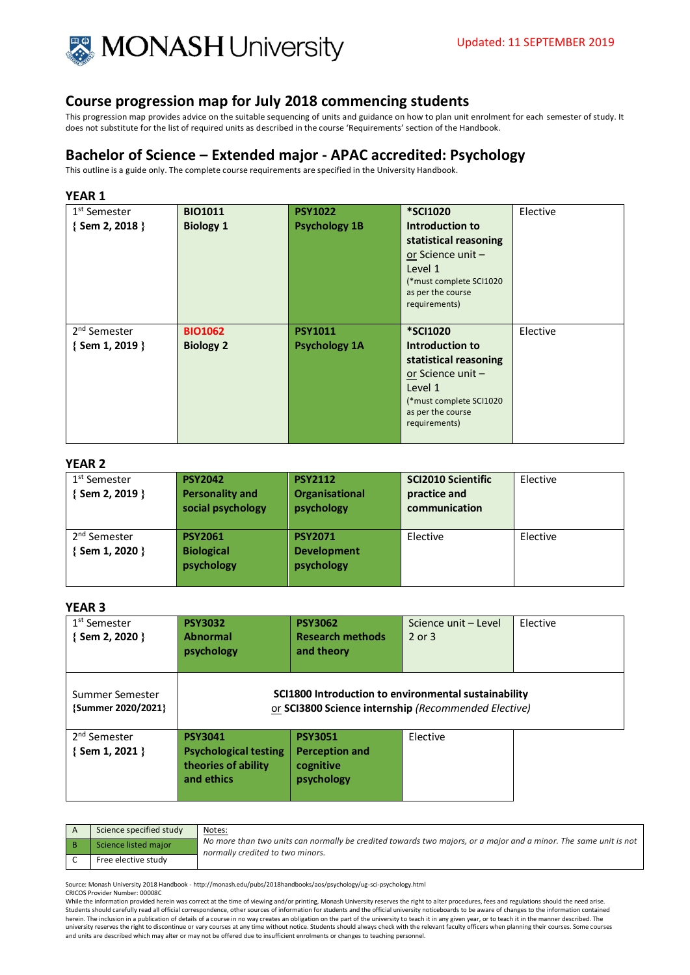

This progression map provides advice on the suitable sequencing of units and guidance on how to plan unit enrolment for each semester of study. It does not substitute for the list of required units as described in the course 'Requirements' section of the Handbook.

## **Bachelor of Science – Extended major - APAC accredited: Psychology**

This outline is a guide only. The complete course requirements are specified in the University Handbook.

## **YEAR 1**

| 1 <sup>st</sup> Semester | <b>BIO1011</b>   | <b>PSY1022</b>       | <b>*SCI1020</b>                              | Elective |
|--------------------------|------------------|----------------------|----------------------------------------------|----------|
| $\{$ Sem 2, 2018 $\}$    | <b>Biology 1</b> | <b>Psychology 1B</b> | Introduction to                              |          |
|                          |                  |                      | statistical reasoning                        |          |
|                          |                  |                      | or Science unit-                             |          |
|                          |                  |                      | Level 1                                      |          |
|                          |                  |                      | (*must complete SCI1020<br>as per the course |          |
|                          |                  |                      | requirements)                                |          |
|                          |                  |                      |                                              |          |
| 2 <sup>nd</sup> Semester | <b>BIO1062</b>   | <b>PSY1011</b>       | <b>*SCI1020</b>                              | Elective |
| $\{$ Sem 1, 2019 $\}$    | <b>Biology 2</b> | <b>Psychology 1A</b> | Introduction to                              |          |
|                          |                  |                      | statistical reasoning                        |          |
|                          |                  |                      | or Science unit -                            |          |
|                          |                  |                      | Level 1                                      |          |
|                          |                  |                      | (*must complete SCI1020                      |          |
|                          |                  |                      | as per the course<br>requirements)           |          |
|                          |                  |                      |                                              |          |

### **YEAR 2**

| 1 <sup>st</sup> Semester<br>$\{$ Sem 2, 2019 $\}$ | <b>PSY2042</b><br><b>Personality and</b><br>social psychology | <b>PSY2112</b><br>Organisational<br>psychology     | <b>SCI2010 Scientific</b><br>practice and<br>communication | Elective |
|---------------------------------------------------|---------------------------------------------------------------|----------------------------------------------------|------------------------------------------------------------|----------|
| 2 <sup>nd</sup> Semester<br>$\{$ Sem 1, 2020 $\}$ | <b>PSY2061</b><br><b>Biological</b><br>psychology             | <b>PSY2071</b><br><b>Development</b><br>psychology | Elective                                                   | Elective |

## **YEAR 3**

| .                                          |                                                                                     |                                                                                                              |                                    |          |
|--------------------------------------------|-------------------------------------------------------------------------------------|--------------------------------------------------------------------------------------------------------------|------------------------------------|----------|
| 1 <sup>st</sup> Semester<br>{Sem 2, 2020 } | <b>PSY3032</b><br><b>Abnormal</b><br>psychology                                     | <b>PSY3062</b><br><b>Research methods</b><br>and theory                                                      | Science unit - Level<br>$2$ or $3$ | Elective |
| Summer Semester<br>{Summer 2020/2021}      |                                                                                     | SCI1800 Introduction to environmental sustainability<br>or SCI3800 Science internship (Recommended Elective) |                                    |          |
| 2 <sup>nd</sup> Semester<br>{Sem 1, 2021 } | <b>PSY3041</b><br><b>Psychological testing</b><br>theories of ability<br>and ethics | <b>PSY3051</b><br><b>Perception and</b><br>cognitive<br>psychology                                           | Elective                           |          |

| Science specified study | Notes:                                                                                                                                               |
|-------------------------|------------------------------------------------------------------------------------------------------------------------------------------------------|
| Science listed major    | No more than two units can normally be credited towards two majors, or a major and a minor. The same unit is not<br>normally credited to two minors. |
| Free elective study     |                                                                                                                                                      |

Source: Monash University 2018 Handbook - http://monash.edu/pubs/2018handbooks/aos/psychology/ug-sci-psychology.html CRICOS Provider Number: 00008C

While the information provided herein was correct at the time of viewing and/or printing. Monash University reserves the right to alter procedures, fees and regulations should the need arise. Students should carefully read all official correspondence, other sources of information for students and the official university noticeboards to be aware of changes to the information contained herein. The inclusion in a publication of details of a course in no way creates an obligation on the part of the university to teach it in any given year, or to teach it in the manner described. The<br>university reserves the and units are described which may alter or may not be offered due to insufficient enrolments or changes to teaching personnel.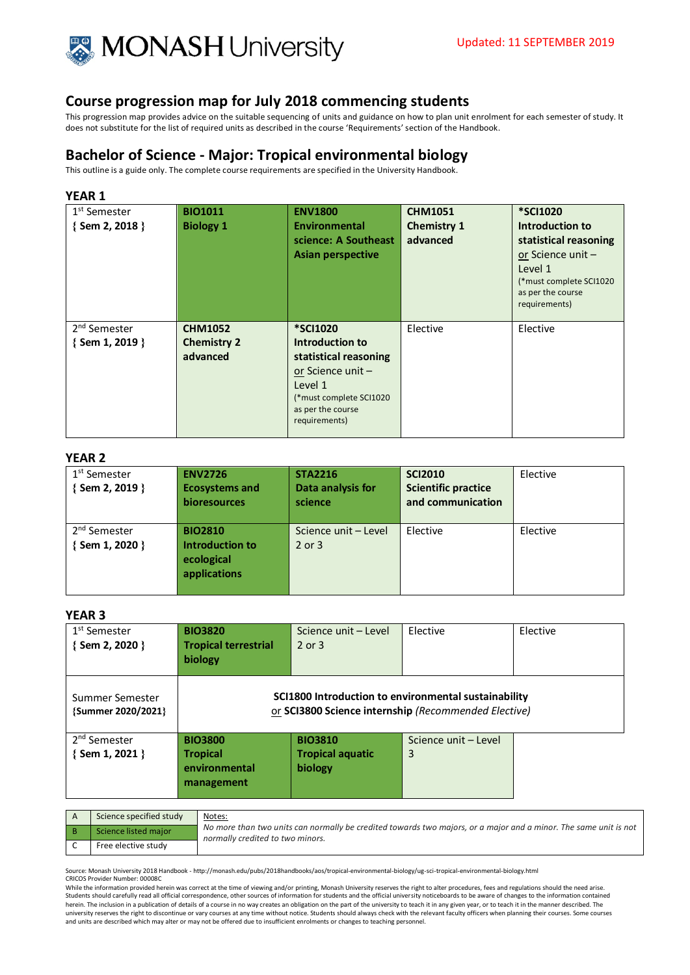

This progression map provides advice on the suitable sequencing of units and guidance on how to plan unit enrolment for each semester of study. It does not substitute for the list of required units as described in the course 'Requirements' section of the Handbook.

# **Bachelor of Science - Major: Tropical environmental biology**

This outline is a guide only. The complete course requirements are specified in the University Handbook.

## **YEAR 1**

| 1 <sup>st</sup> Semester<br>{Sem 2, 2018 }        | <b>BIO1011</b><br><b>Biology 1</b>               | <b>ENV1800</b><br>Environmental<br>science: A Southeast<br><b>Asian perspective</b>                                                                          | <b>CHM1051</b><br><b>Chemistry 1</b><br>advanced | <b>*SCI1020</b><br>Introduction to<br>statistical reasoning<br>or Science unit $-$<br>Level 1<br>(*must complete SCI1020<br>as per the course<br>requirements) |
|---------------------------------------------------|--------------------------------------------------|--------------------------------------------------------------------------------------------------------------------------------------------------------------|--------------------------------------------------|----------------------------------------------------------------------------------------------------------------------------------------------------------------|
| 2 <sup>nd</sup> Semester<br>$\{$ Sem 1, 2019 $\}$ | <b>CHM1052</b><br><b>Chemistry 2</b><br>advanced | <b>*SCI1020</b><br>Introduction to<br>statistical reasoning<br>or Science unit -<br>Level 1<br>(*must complete SCI1020<br>as per the course<br>requirements) | Elective                                         | Elective                                                                                                                                                       |

#### **YEAR 2**

| 1 <sup>st</sup> Semester<br>$\{$ Sem 2, 2019 $\}$ | <b>ENV2726</b><br><b>Ecosystems and</b><br><b>bioresources</b>  | <b>STA2216</b><br>Data analysis for<br>science | <b>SCI2010</b><br><b>Scientific practice</b><br>and communication | Elective |
|---------------------------------------------------|-----------------------------------------------------------------|------------------------------------------------|-------------------------------------------------------------------|----------|
| 2 <sup>nd</sup> Semester<br>$\{$ Sem 1, 2020 $\}$ | <b>BIO2810</b><br>Introduction to<br>ecological<br>applications | Science unit - Level<br>$2$ or $3$             | Elective                                                          | Elective |

### **YEAR 3**

| 1 <sup>st</sup> Semester<br>$\{$ Sem 2, 2020 $\}$ | <b>BIO3820</b><br><b>Tropical terrestrial</b><br>biology                                                     | Science unit - Level<br>$2$ or $3$ | Elective             | Elective |
|---------------------------------------------------|--------------------------------------------------------------------------------------------------------------|------------------------------------|----------------------|----------|
| Summer Semester<br>{Summer 2020/2021}             | SCI1800 Introduction to environmental sustainability<br>or SCI3800 Science internship (Recommended Elective) |                                    |                      |          |
| 2 <sup>nd</sup> Semester                          | <b>BIO3800</b>                                                                                               | <b>BIO3810</b>                     | Science unit - Level |          |
| $\{$ Sem 1, 2021 $\}$                             | <b>Tropical</b>                                                                                              | <b>Tropical aquatic</b>            | 3                    |          |
|                                                   | environmental<br>management                                                                                  | biology                            |                      |          |

| Science specified study | Notes:                                                                                                                                               |
|-------------------------|------------------------------------------------------------------------------------------------------------------------------------------------------|
| Science listed major    | No more than two units can normally be credited towards two majors, or a major and a minor. The same unit is not<br>normally credited to two minors. |
| Free elective study     |                                                                                                                                                      |

Source: Monash University 2018 Handbook - http://monash.edu/pubs/2018handbooks/aos/tropical-environmental-biology/ug-sci-tropical-environmental-biology.html CRICOS Provider Number: 00008C

While the information provided herein was correct at the time of viewing and/or printing, Monash University reserves the right to alter procedures, fees and regulations should the need arise. Students should carefully read all official correspondence, other sources of information for students and the official university noticeboards to be aware of changes to the information contained herein. The inclusion in a publication of details of a course in no way creates an obligation on the part of the university to teach it in any given year, or to teach it in the manner described. The<br>university reserves the and units are described which may alter or may not be offered due to insufficient enrolments or changes to teaching personnel.